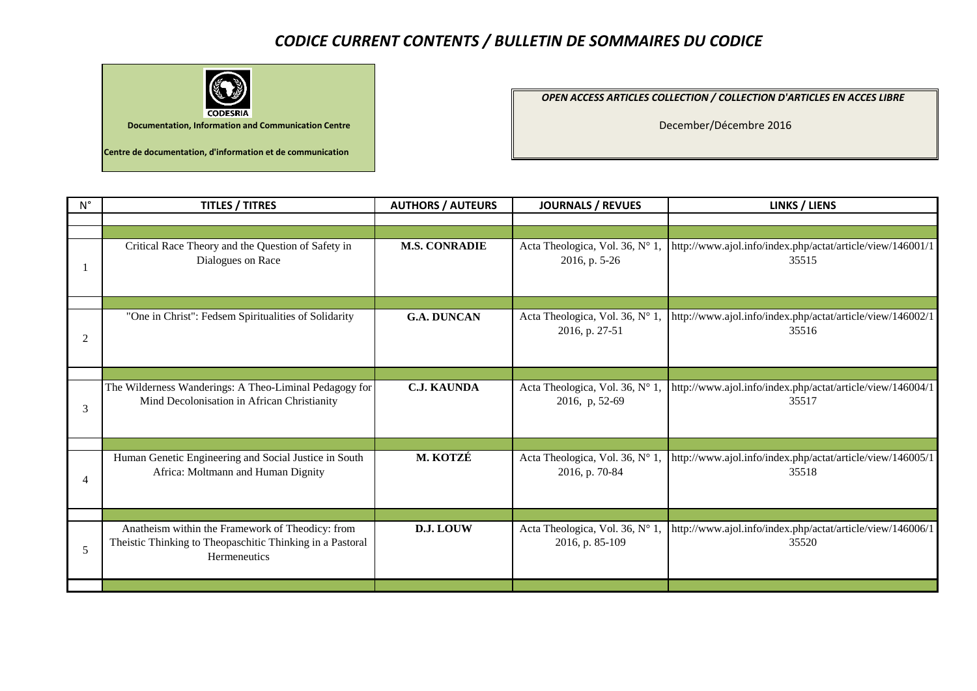## *CODICE CURRENT CONTENTS / BULLETIN DE SOMMAIRES DU CODICE*



*OPEN ACCESS ARTICLES COLLECTION / COLLECTION D'ARTICLES EN ACCES LIBRE* 

December/Décembre 2016

| $N^{\circ}$ | <b>TITLES / TITRES</b>                                                                                                        | <b>AUTHORS / AUTEURS</b> | <b>JOURNALS / REVUES</b>                           | <b>LINKS / LIENS</b>                                                |
|-------------|-------------------------------------------------------------------------------------------------------------------------------|--------------------------|----------------------------------------------------|---------------------------------------------------------------------|
|             |                                                                                                                               |                          |                                                    |                                                                     |
|             |                                                                                                                               |                          |                                                    |                                                                     |
|             | Critical Race Theory and the Question of Safety in<br>Dialogues on Race                                                       | <b>M.S. CONRADIE</b>     | Acta Theologica, Vol. 36, Nº 1,<br>2016, p. 5-26   | http://www.ajol.info/index.php/actat/article/view/146001/1<br>35515 |
|             |                                                                                                                               |                          |                                                    |                                                                     |
| 2           | "One in Christ": Fedsem Spiritualities of Solidarity                                                                          | <b>G.A. DUNCAN</b>       | Acta Theologica, Vol. 36, N° 1,<br>2016, p. 27-51  | http://www.ajol.info/index.php/actat/article/view/146002/1<br>35516 |
|             |                                                                                                                               |                          |                                                    |                                                                     |
| 3           | The Wilderness Wanderings: A Theo-Liminal Pedagogy for<br>Mind Decolonisation in African Christianity                         | <b>C.J. KAUNDA</b>       | Acta Theologica, Vol. 36, N° 1,<br>2016, p, 52-69  | http://www.ajol.info/index.php/actat/article/view/146004/1<br>35517 |
|             |                                                                                                                               |                          |                                                    |                                                                     |
|             | Human Genetic Engineering and Social Justice in South<br>Africa: Moltmann and Human Dignity                                   | M. KOTZÉ                 | Acta Theologica, Vol. 36, Nº 1,<br>2016, p. 70-84  | http://www.ajol.info/index.php/actat/article/view/146005/1<br>35518 |
|             |                                                                                                                               |                          |                                                    |                                                                     |
| 5           | Anatheism within the Framework of Theodicy: from<br>Theistic Thinking to Theopaschitic Thinking in a Pastoral<br>Hermeneutics | D.J. LOUW                | Acta Theologica, Vol. 36, N° 1,<br>2016, p. 85-109 | http://www.ajol.info/index.php/actat/article/view/146006/1<br>35520 |
|             |                                                                                                                               |                          |                                                    |                                                                     |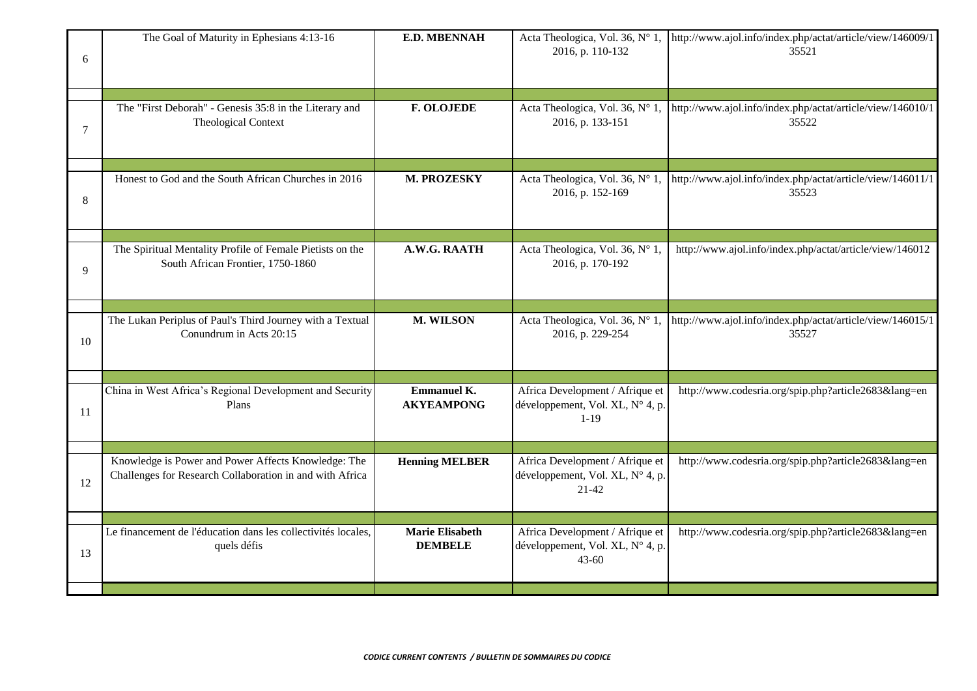| 6  | The Goal of Maturity in Ephesians 4:13-16                                                                       | <b>E.D. MBENNAH</b>                      | Acta Theologica, Vol. 36, N° 1,<br>2016, p. 110-132                              | http://www.ajol.info/index.php/actat/article/view/146009/1<br>35521 |
|----|-----------------------------------------------------------------------------------------------------------------|------------------------------------------|----------------------------------------------------------------------------------|---------------------------------------------------------------------|
| 7  | The "First Deborah" - Genesis 35:8 in the Literary and<br>Theological Context                                   | <b>F. OLOJEDE</b>                        | Acta Theologica, Vol. 36, N° 1,<br>2016, p. 133-151                              | http://www.ajol.info/index.php/actat/article/view/146010/1<br>35522 |
| 8  | Honest to God and the South African Churches in 2016                                                            | M. PROZESKY                              | Acta Theologica, Vol. 36, N° 1,<br>2016, p. 152-169                              | http://www.ajol.info/index.php/actat/article/view/146011/1<br>35523 |
| 9  | The Spiritual Mentality Profile of Female Pietists on the<br>South African Frontier, 1750-1860                  | A.W.G. RAATH                             | Acta Theologica, Vol. 36, Nº 1,<br>2016, p. 170-192                              | http://www.ajol.info/index.php/actat/article/view/146012            |
| 10 | The Lukan Periplus of Paul's Third Journey with a Textual<br>Conundrum in Acts 20:15                            | M. WILSON                                | Acta Theologica, Vol. 36, N° 1,<br>2016, p. 229-254                              | http://www.ajol.info/index.php/actat/article/view/146015/1<br>35527 |
| 11 | China in West Africa's Regional Development and Security<br>Plans                                               | <b>Emmanuel K.</b><br><b>AKYEAMPONG</b>  | Africa Development / Afrique et<br>développement, Vol. XL, N° 4, p.<br>$1-19$    | http://www.codesria.org/spip.php?article2683⟨=en                    |
| 12 | Knowledge is Power and Power Affects Knowledge: The<br>Challenges for Research Collaboration in and with Africa | <b>Henning MELBER</b>                    | Africa Development / Afrique et<br>développement, Vol. XL, N° 4, p.<br>$21-42$   | http://www.codesria.org/spip.php?article2683⟨=en                    |
| 13 | Le financement de l'éducation dans les collectivités locales,<br>quels défis                                    | <b>Marie Elisabeth</b><br><b>DEMBELE</b> | Africa Development / Afrique et<br>développement, Vol. XL, N° 4, p.<br>$43 - 60$ | http://www.codesria.org/spip.php?article2683⟨=en                    |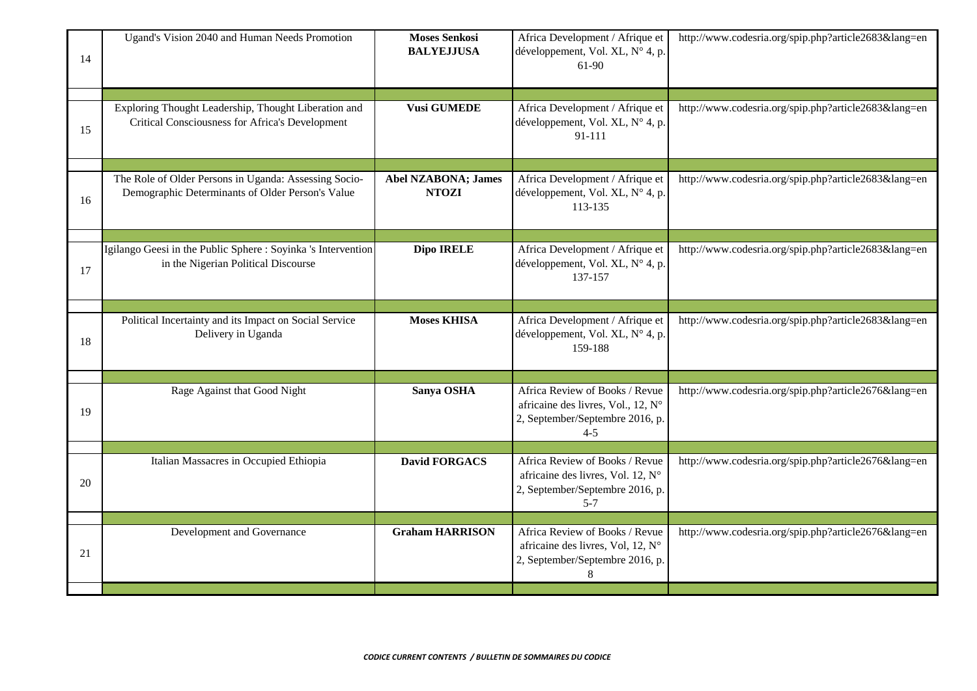| 14 | Ugand's Vision 2040 and Human Needs Promotion                                                             | <b>Moses Senkosi</b><br><b>BALYEJJUSA</b>  | Africa Development / Afrique et<br>développement, Vol. XL, N° 4, p.<br>61-90                                       | http://www.codesria.org/spip.php?article2683⟨=en |
|----|-----------------------------------------------------------------------------------------------------------|--------------------------------------------|--------------------------------------------------------------------------------------------------------------------|--------------------------------------------------|
| 15 | Exploring Thought Leadership, Thought Liberation and<br>Critical Consciousness for Africa's Development   | <b>Vusi GUMEDE</b>                         | Africa Development / Afrique et<br>développement, Vol. XL, N° 4, p.<br>91-111                                      | http://www.codesria.org/spip.php?article2683⟨=en |
| 16 | The Role of Older Persons in Uganda: Assessing Socio-<br>Demographic Determinants of Older Person's Value | <b>Abel NZABONA; James</b><br><b>NTOZI</b> | Africa Development / Afrique et<br>développement, Vol. XL, N° 4, p.<br>113-135                                     | http://www.codesria.org/spip.php?article2683⟨=en |
| 17 | Igilango Geesi in the Public Sphere : Soyinka 's Intervention<br>in the Nigerian Political Discourse      | Dipo IRELE                                 | Africa Development / Afrique et<br>développement, Vol. XL, N° 4, p.<br>137-157                                     | http://www.codesria.org/spip.php?article2683⟨=en |
| 18 | Political Incertainty and its Impact on Social Service<br>Delivery in Uganda                              | <b>Moses KHISA</b>                         | Africa Development / Afrique et<br>développement, Vol. XL, N° 4, p.<br>159-188                                     | http://www.codesria.org/spip.php?article2683⟨=en |
| 19 | Rage Against that Good Night                                                                              | Sanya OSHA                                 | Africa Review of Books / Revue<br>africaine des livres, Vol., 12, N°<br>2, September/Septembre 2016, p.<br>$4 - 5$ | http://www.codesria.org/spip.php?article2676⟨=en |
| 20 | Italian Massacres in Occupied Ethiopia                                                                    | <b>David FORGACS</b>                       | Africa Review of Books / Revue<br>africaine des livres, Vol. 12, N°<br>2, September/Septembre 2016, p.<br>$5 - 7$  | http://www.codesria.org/spip.php?article2676⟨=en |
| 21 | Development and Governance                                                                                | <b>Graham HARRISON</b>                     | Africa Review of Books / Revue<br>africaine des livres, Vol, 12, N°<br>2, September/Septembre 2016, p.<br>8        | http://www.codesria.org/spip.php?article2676⟨=en |
|    |                                                                                                           |                                            |                                                                                                                    |                                                  |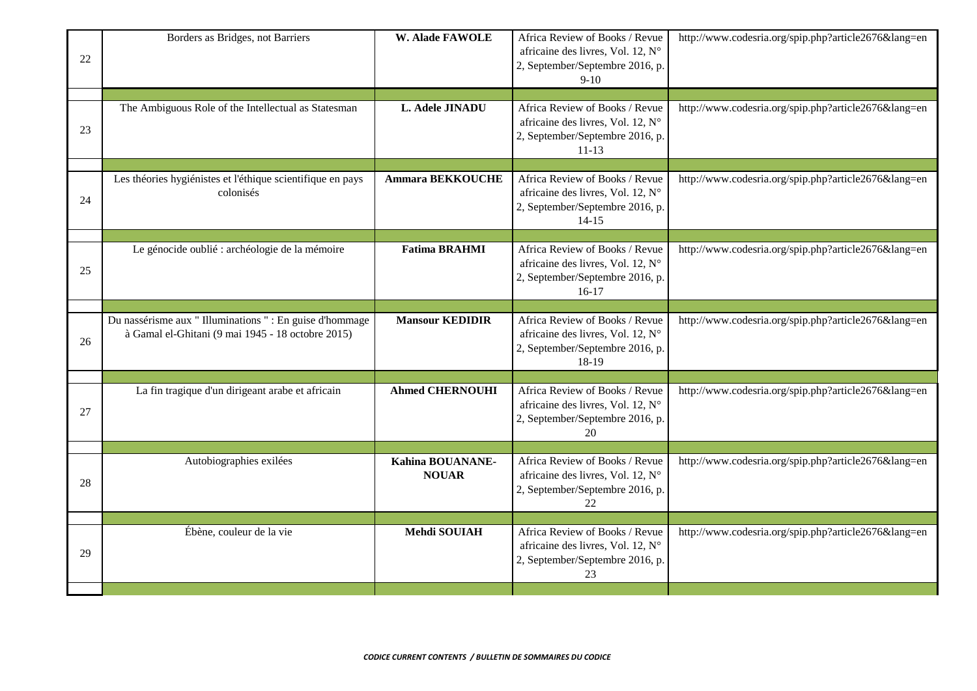| 22 | Borders as Bridges, not Barriers                                                                              | <b>W. Alade FAWOLE</b>           | Africa Review of Books / Revue<br>africaine des livres, Vol. 12, N°<br>2, September/Septembre 2016, p.<br>$9-10$    | http://www.codesria.org/spip.php?article2676⟨=en |
|----|---------------------------------------------------------------------------------------------------------------|----------------------------------|---------------------------------------------------------------------------------------------------------------------|--------------------------------------------------|
|    |                                                                                                               |                                  |                                                                                                                     |                                                  |
| 23 | The Ambiguous Role of the Intellectual as Statesman                                                           | L. Adele JINADU                  | Africa Review of Books / Revue<br>africaine des livres, Vol. 12, N°<br>2, September/Septembre 2016, p.<br>$11 - 13$ | http://www.codesria.org/spip.php?article2676⟨=en |
|    |                                                                                                               |                                  |                                                                                                                     |                                                  |
| 24 | Les théories hygiénistes et l'éthique scientifique en pays<br>colonisés                                       | <b>Ammara BEKKOUCHE</b>          | Africa Review of Books / Revue<br>africaine des livres, Vol. 12, N°<br>2, September/Septembre 2016, p.<br>$14 - 15$ | http://www.codesria.org/spip.php?article2676⟨=en |
|    |                                                                                                               |                                  |                                                                                                                     |                                                  |
| 25 | Le génocide oublié : archéologie de la mémoire                                                                | <b>Fatima BRAHMI</b>             | Africa Review of Books / Revue<br>africaine des livres, Vol. 12, N°<br>2, September/Septembre 2016, p.<br>$16-17$   | http://www.codesria.org/spip.php?article2676⟨=en |
|    |                                                                                                               |                                  |                                                                                                                     |                                                  |
| 26 | Du nassérisme aux " Illuminations " : En guise d'hommage<br>à Gamal el-Ghitani (9 mai 1945 - 18 octobre 2015) | <b>Mansour KEDIDIR</b>           | Africa Review of Books / Revue<br>africaine des livres, Vol. 12, N°<br>2, September/Septembre 2016, p.<br>18-19     | http://www.codesria.org/spip.php?article2676⟨=en |
|    |                                                                                                               |                                  |                                                                                                                     |                                                  |
| 27 | La fin tragique d'un dirigeant arabe et africain                                                              | <b>Ahmed CHERNOUHI</b>           | Africa Review of Books / Revue<br>africaine des livres, Vol. 12, N°<br>2, September/Septembre 2016, p.<br>20        | http://www.codesria.org/spip.php?article2676⟨=en |
|    |                                                                                                               |                                  |                                                                                                                     |                                                  |
| 28 | Autobiographies exilées                                                                                       | Kahina BOUANANE-<br><b>NOUAR</b> | Africa Review of Books / Revue<br>africaine des livres, Vol. 12, N°<br>2, September/Septembre 2016, p.<br>22        | http://www.codesria.org/spip.php?article2676⟨=en |
|    |                                                                                                               |                                  |                                                                                                                     |                                                  |
| 29 | Ébène, couleur de la vie                                                                                      | Mehdi SOUIAH                     | Africa Review of Books / Revue<br>africaine des livres, Vol. 12, N°<br>2, September/Septembre 2016, p.<br>23        | http://www.codesria.org/spip.php?article2676⟨=en |
|    |                                                                                                               |                                  |                                                                                                                     |                                                  |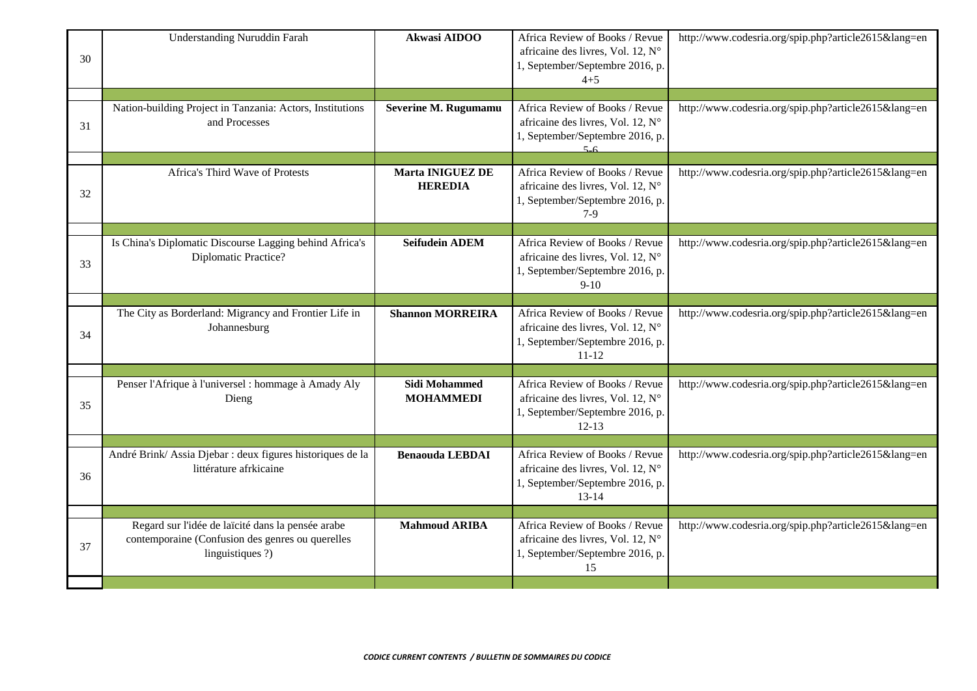| 30 | <b>Understanding Nuruddin Farah</b>                                                 | Akwasi AIDOO                              | Africa Review of Books / Revue<br>africaine des livres, Vol. 12, N°<br>1, September/Septembre 2016, p.<br>$4 + 5$   | http://www.codesria.org/spip.php?article2615⟨=en |
|----|-------------------------------------------------------------------------------------|-------------------------------------------|---------------------------------------------------------------------------------------------------------------------|--------------------------------------------------|
| 31 | Nation-building Project in Tanzania: Actors, Institutions<br>and Processes          | Severine M. Rugumamu                      | Africa Review of Books / Revue<br>africaine des livres, Vol. 12, N°<br>1, September/Septembre 2016, p.<br>$5 - 6$   | http://www.codesria.org/spip.php?article2615⟨=en |
| 32 | Africa's Third Wave of Protests                                                     | <b>Marta INIGUEZ DE</b><br><b>HEREDIA</b> | Africa Review of Books / Revue<br>africaine des livres, Vol. 12, N°<br>1, September/Septembre 2016, p.<br>$7-9$     | http://www.codesria.org/spip.php?article2615⟨=en |
| 33 | Is China's Diplomatic Discourse Lagging behind Africa's<br>Diplomatic Practice?     | <b>Seifudein ADEM</b>                     | Africa Review of Books / Revue<br>africaine des livres, Vol. 12, N°<br>1, September/Septembre 2016, p.<br>$9 - 10$  | http://www.codesria.org/spip.php?article2615⟨=en |
| 34 | The City as Borderland: Migrancy and Frontier Life in<br>Johannesburg               | <b>Shannon MORREIRA</b>                   | Africa Review of Books / Revue<br>africaine des livres, Vol. 12, N°<br>1, September/Septembre 2016, p.<br>$11 - 12$ | http://www.codesria.org/spip.php?article2615⟨=en |
| 35 | Penser l'Afrique à l'universel : hommage à Amady Aly<br>Dieng                       | Sidi Mohammed<br><b>MOHAMMEDI</b>         | Africa Review of Books / Revue<br>africaine des livres, Vol. 12, N°<br>1, September/Septembre 2016, p.<br>$12 - 13$ | http://www.codesria.org/spip.php?article2615⟨=en |
| 36 | André Brink/Assia Djebar : deux figures historiques de la<br>littérature afrkicaine | <b>Benaouda LEBDAI</b>                    | Africa Review of Books / Revue<br>africaine des livres, Vol. 12, N°<br>1, September/Septembre 2016, p.<br>$13 - 14$ | http://www.codesria.org/spip.php?article2615⟨=en |
|    | Regard sur l'idée de laïcité dans la pensée arabe                                   | <b>Mahmoud ARIBA</b>                      | Africa Review of Books / Revue                                                                                      | http://www.codesria.org/spip.php?article2615⟨=en |
| 37 | contemporaine (Confusion des genres ou querelles<br>linguistiques ?)                |                                           | africaine des livres, Vol. 12, N°<br>1, September/Septembre 2016, p.<br>15                                          |                                                  |
|    |                                                                                     |                                           |                                                                                                                     |                                                  |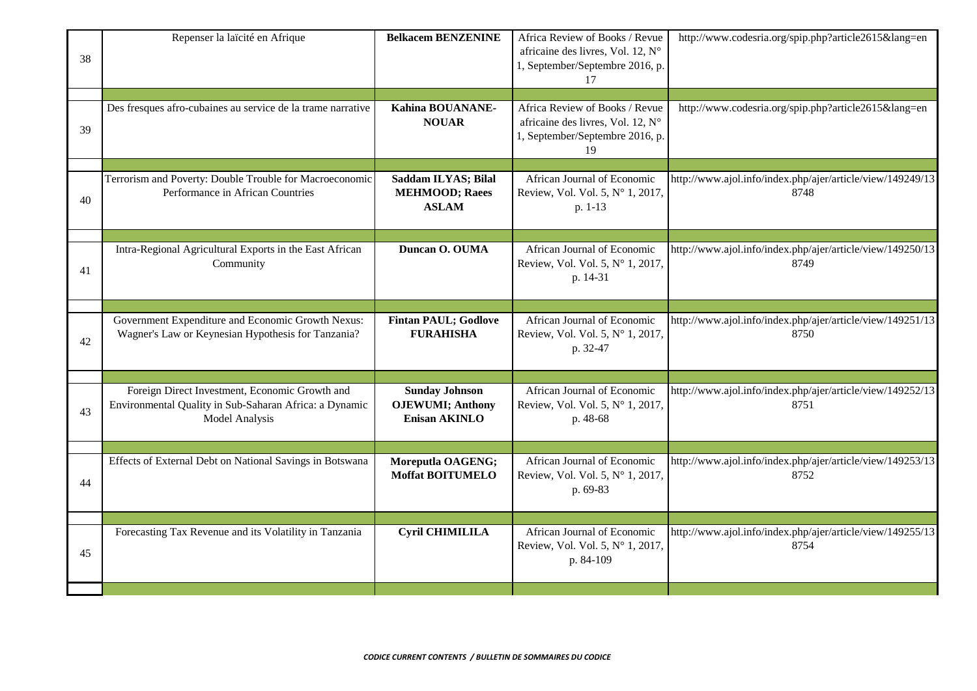| 38 | Repenser la laïcité en Afrique                                                                                                    | <b>Belkacem BENZENINE</b>                                                 | Africa Review of Books / Revue<br>africaine des livres, Vol. 12, N°<br>1, September/Septembre 2016, p.<br>17 | http://www.codesria.org/spip.php?article2615⟨=en                   |
|----|-----------------------------------------------------------------------------------------------------------------------------------|---------------------------------------------------------------------------|--------------------------------------------------------------------------------------------------------------|--------------------------------------------------------------------|
| 39 | Des fresques afro-cubaines au service de la trame narrative                                                                       | Kahina BOUANANE-<br><b>NOUAR</b>                                          | Africa Review of Books / Revue<br>africaine des livres, Vol. 12, N°<br>1, September/Septembre 2016, p.<br>19 | http://www.codesria.org/spip.php?article2615⟨=en                   |
| 40 | Terrorism and Poverty: Double Trouble for Macroeconomic<br>Performance in African Countries                                       | Saddam ILYAS; Bilal<br><b>MEHMOOD; Raees</b><br><b>ASLAM</b>              | African Journal of Economic<br>Review, Vol. Vol. 5, N° 1, 2017,<br>p. 1-13                                   | http://www.ajol.info/index.php/ajer/article/view/149249/13<br>8748 |
| 41 | Intra-Regional Agricultural Exports in the East African<br>Community                                                              | Duncan O. OUMA                                                            | African Journal of Economic<br>Review, Vol. Vol. 5, Nº 1, 2017,<br>p. 14-31                                  | http://www.ajol.info/index.php/ajer/article/view/149250/13<br>8749 |
| 42 | Government Expenditure and Economic Growth Nexus:<br>Wagner's Law or Keynesian Hypothesis for Tanzania?                           | <b>Fintan PAUL; Godlove</b><br><b>FURAHISHA</b>                           | African Journal of Economic<br>Review, Vol. Vol. 5, N° 1, 2017,<br>p. 32-47                                  | http://www.ajol.info/index.php/ajer/article/view/149251/13<br>8750 |
| 43 | Foreign Direct Investment, Economic Growth and<br>Environmental Quality in Sub-Saharan Africa: a Dynamic<br><b>Model Analysis</b> | <b>Sunday Johnson</b><br><b>OJEWUMI</b> ; Anthony<br><b>Enisan AKINLO</b> | African Journal of Economic<br>Review, Vol. Vol. 5, Nº 1, 2017,<br>p. 48-68                                  | http://www.ajol.info/index.php/ajer/article/view/149252/13<br>8751 |
| 44 | Effects of External Debt on National Savings in Botswana                                                                          | Moreputla OAGENG;<br><b>Moffat BOITUMELO</b>                              | African Journal of Economic<br>Review, Vol. Vol. 5, N° 1, 2017,<br>p. 69-83                                  | http://www.ajol.info/index.php/ajer/article/view/149253/13<br>8752 |
| 45 | Forecasting Tax Revenue and its Volatility in Tanzania                                                                            | <b>Cyril CHIMILILA</b>                                                    | African Journal of Economic<br>Review, Vol. Vol. 5, N° 1, 2017,<br>p. 84-109                                 | http://www.ajol.info/index.php/ajer/article/view/149255/13<br>8754 |
|    |                                                                                                                                   |                                                                           |                                                                                                              |                                                                    |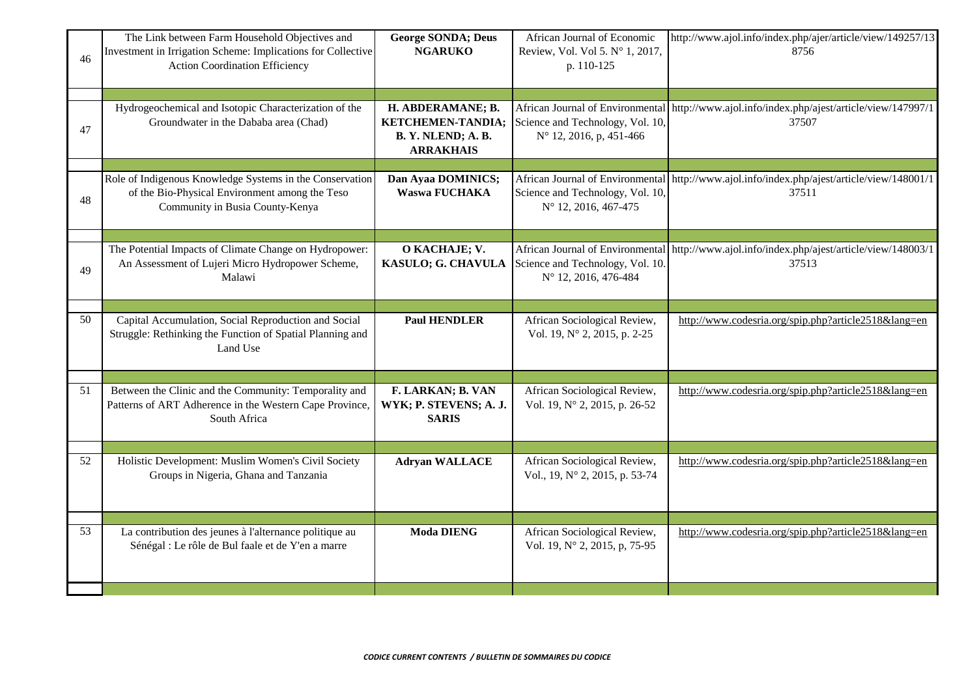| 46 | The Link between Farm Household Objectives and<br>Investment in Irrigation Scheme: Implications for Collective<br>Action Coordination Efficiency | <b>George SONDA; Deus</b><br><b>NGARUKO</b>                                    | African Journal of Economic<br>Review, Vol. Vol 5. Nº 1, 2017,<br>p. 110-125                    | http://www.ajol.info/index.php/ajer/article/view/149257/13<br>8756  |
|----|--------------------------------------------------------------------------------------------------------------------------------------------------|--------------------------------------------------------------------------------|-------------------------------------------------------------------------------------------------|---------------------------------------------------------------------|
| 47 | Hydrogeochemical and Isotopic Characterization of the<br>Groundwater in the Dababa area (Chad)                                                   | H. ABDERAMANE; B.<br>KETCHEMEN-TANDIA;<br>B.Y. NLEND; A.B.<br><b>ARRAKHAIS</b> | African Journal of Environmental<br>Science and Technology, Vol. 10,<br>N° 12, 2016, p, 451-466 | http://www.ajol.info/index.php/ajest/article/view/147997/1<br>37507 |
| 48 | Role of Indigenous Knowledge Systems in the Conservation<br>of the Bio-Physical Environment among the Teso<br>Community in Busia County-Kenya    | Dan Ayaa DOMINICS;<br>Waswa FUCHAKA                                            | African Journal of Environmental<br>Science and Technology, Vol. 10,<br>N° 12, 2016, 467-475    | http://www.ajol.info/index.php/ajest/article/view/148001/1<br>37511 |
| 49 | The Potential Impacts of Climate Change on Hydropower:<br>An Assessment of Lujeri Micro Hydropower Scheme,<br>Malawi                             | O KACHAJE; V.<br>KASULO; G. CHAVULA                                            | African Journal of Environmental<br>Science and Technology, Vol. 10.<br>N° 12, 2016, 476-484    | http://www.ajol.info/index.php/ajest/article/view/148003/1<br>37513 |
| 50 | Capital Accumulation, Social Reproduction and Social<br>Struggle: Rethinking the Function of Spatial Planning and<br>Land Use                    | <b>Paul HENDLER</b>                                                            | African Sociological Review,<br>Vol. 19, N° 2, 2015, p. 2-25                                    | http://www.codesria.org/spip.php?article2518⟨=en                    |
| 51 | Between the Clinic and the Community: Temporality and<br>Patterns of ART Adherence in the Western Cape Province,<br>South Africa                 | F. LARKAN; B. VAN<br>WYK; P. STEVENS; A. J.<br><b>SARIS</b>                    | African Sociological Review,<br>Vol. 19, N° 2, 2015, p. 26-52                                   | http://www.codesria.org/spip.php?article2518⟨=en                    |
| 52 | Holistic Development: Muslim Women's Civil Society<br>Groups in Nigeria, Ghana and Tanzania                                                      | <b>Adryan WALLACE</b>                                                          | African Sociological Review,<br>Vol., 19, N° 2, 2015, p. 53-74                                  | http://www.codesria.org/spip.php?article2518⟨=en                    |
| 53 | La contribution des jeunes à l'alternance politique au<br>Sénégal : Le rôle de Bul faale et de Y'en a marre                                      | <b>Moda DIENG</b>                                                              | African Sociological Review,<br>Vol. 19, N° 2, 2015, p, 75-95                                   | http://www.codesria.org/spip.php?article2518⟨=en                    |
|    |                                                                                                                                                  |                                                                                |                                                                                                 |                                                                     |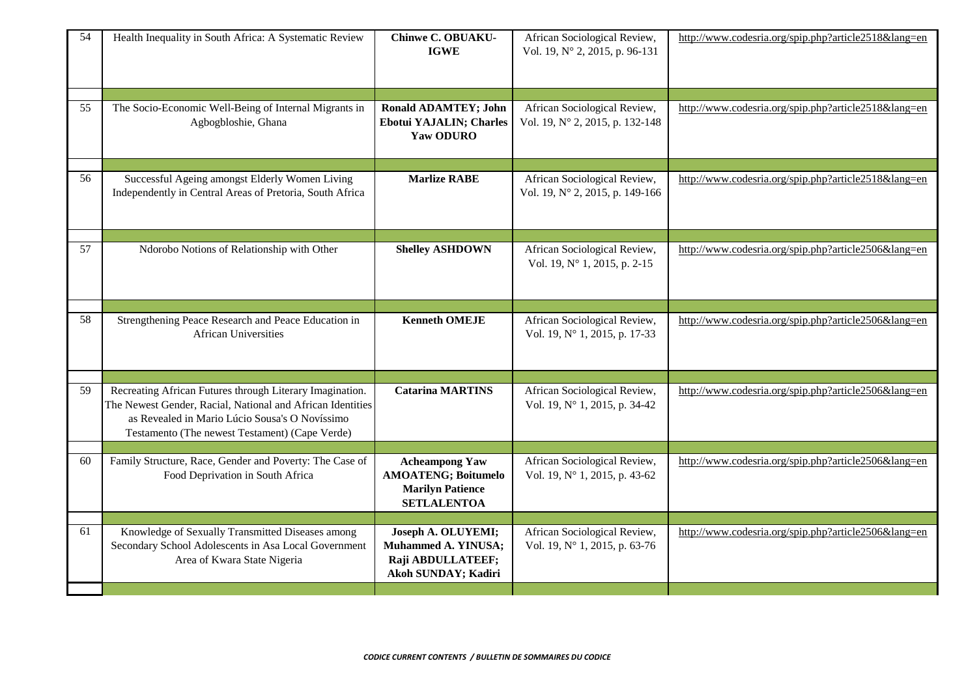| 54 | Health Inequality in South Africa: A Systematic Review                                                                                                                                                                     | <b>Chinwe C. OBUAKU-</b><br><b>IGWE</b>                                                              | African Sociological Review,<br>Vol. 19, N° 2, 2015, p. 96-131  | http://www.codesria.org/spip.php?article2518⟨=en |
|----|----------------------------------------------------------------------------------------------------------------------------------------------------------------------------------------------------------------------------|------------------------------------------------------------------------------------------------------|-----------------------------------------------------------------|--------------------------------------------------|
| 55 | The Socio-Economic Well-Being of Internal Migrants in<br>Agbogbloshie, Ghana                                                                                                                                               | <b>Ronald ADAMTEY; John</b><br><b>Ebotui YAJALIN; Charles</b><br>Yaw ODURO                           | African Sociological Review,<br>Vol. 19, N° 2, 2015, p. 132-148 | http://www.codesria.org/spip.php?article2518⟨=en |
| 56 | Successful Ageing amongst Elderly Women Living<br>Independently in Central Areas of Pretoria, South Africa                                                                                                                 | <b>Marlize RABE</b>                                                                                  | African Sociological Review,<br>Vol. 19, N° 2, 2015, p. 149-166 | http://www.codesria.org/spip.php?article2518⟨=en |
| 57 | Ndorobo Notions of Relationship with Other                                                                                                                                                                                 | <b>Shelley ASHDOWN</b>                                                                               | African Sociological Review,<br>Vol. 19, N° 1, 2015, p. 2-15    | http://www.codesria.org/spip.php?article2506⟨=en |
| 58 | Strengthening Peace Research and Peace Education in<br><b>African Universities</b>                                                                                                                                         | <b>Kenneth OMEJE</b>                                                                                 | African Sociological Review,<br>Vol. 19, N° 1, 2015, p. 17-33   | http://www.codesria.org/spip.php?article2506⟨=en |
| 59 | Recreating African Futures through Literary Imagination.<br>The Newest Gender, Racial, National and African Identities<br>as Revealed in Mario Lúcio Sousa's O Novíssimo<br>Testamento (The newest Testament) (Cape Verde) | <b>Catarina MARTINS</b>                                                                              | African Sociological Review,<br>Vol. 19, N° 1, 2015, p. 34-42   | http://www.codesria.org/spip.php?article2506⟨=en |
| 60 | Family Structure, Race, Gender and Poverty: The Case of<br>Food Deprivation in South Africa                                                                                                                                | <b>Acheampong Yaw</b><br><b>AMOATENG; Boitumelo</b><br><b>Marilyn Patience</b><br><b>SETLALENTOA</b> | African Sociological Review,<br>Vol. 19, N° 1, 2015, p. 43-62   | http://www.codesria.org/spip.php?article2506⟨=en |
| 61 | Knowledge of Sexually Transmitted Diseases among<br>Secondary School Adolescents in Asa Local Government<br>Area of Kwara State Nigeria                                                                                    | Joseph A. OLUYEMI;<br>Muhammed A. YINUSA;<br>Raji ABDULLATEEF;<br>Akoh SUNDAY; Kadiri                | African Sociological Review,<br>Vol. 19, N° 1, 2015, p. 63-76   | http://www.codesria.org/spip.php?article2506⟨=en |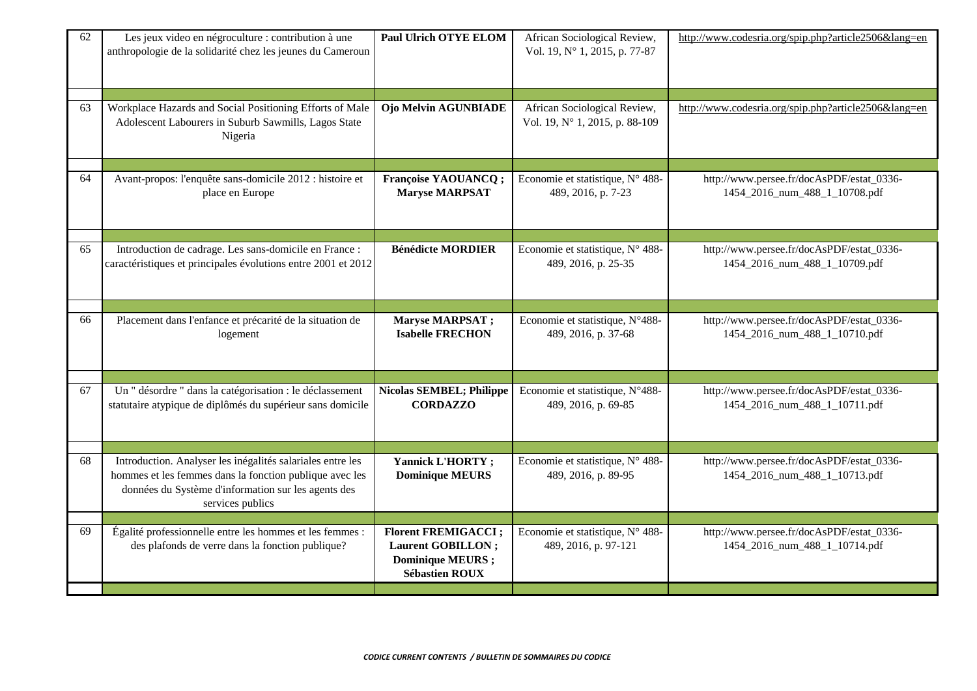| 62 | Les jeux video en négroculture : contribution à une<br>anthropologie de la solidarité chez les jeunes du Cameroun                                                                                | <b>Paul Ulrich OTYE ELOM</b>                                                                                  | African Sociological Review,<br>Vol. 19, N° 1, 2015, p. 77-87  | http://www.codesria.org/spip.php?article2506⟨=en                           |
|----|--------------------------------------------------------------------------------------------------------------------------------------------------------------------------------------------------|---------------------------------------------------------------------------------------------------------------|----------------------------------------------------------------|----------------------------------------------------------------------------|
| 63 | Workplace Hazards and Social Positioning Efforts of Male<br>Adolescent Labourers in Suburb Sawmills, Lagos State<br>Nigeria                                                                      | Ojo Melvin AGUNBIADE                                                                                          | African Sociological Review,<br>Vol. 19, N° 1, 2015, p. 88-109 | http://www.codesria.org/spip.php?article2506⟨=en                           |
| 64 | Avant-propos: l'enquête sans-domicile 2012 : histoire et<br>place en Europe                                                                                                                      | <b>Françoise YAOUANCQ;</b><br><b>Maryse MARPSAT</b>                                                           | Economie et statistique, N° 488-<br>489, 2016, p. 7-23         | http://www.persee.fr/docAsPDF/estat_0336-<br>1454_2016_num_488_1_10708.pdf |
| 65 | Introduction de cadrage. Les sans-domicile en France :<br>caractéristiques et principales évolutions entre 2001 et 2012                                                                          | <b>Bénédicte MORDIER</b>                                                                                      | Economie et statistique, N° 488-<br>489, 2016, p. 25-35        | http://www.persee.fr/docAsPDF/estat_0336-<br>1454_2016_num_488_1_10709.pdf |
| 66 | Placement dans l'enfance et précarité de la situation de<br>logement                                                                                                                             | Maryse MARPSAT;<br><b>Isabelle FRECHON</b>                                                                    | Economie et statistique, N°488-<br>489, 2016, p. 37-68         | http://www.persee.fr/docAsPDF/estat_0336-<br>1454_2016_num_488_1_10710.pdf |
| 67 | Un " désordre " dans la catégorisation : le déclassement<br>statutaire atypique de diplômés du supérieur sans domicile                                                                           | <b>Nicolas SEMBEL; Philippe</b><br><b>CORDAZZO</b>                                                            | Economie et statistique, N°488-<br>489, 2016, p. 69-85         | http://www.persee.fr/docAsPDF/estat_0336-<br>1454_2016_num_488_1_10711.pdf |
| 68 | Introduction. Analyser les inégalités salariales entre les<br>hommes et les femmes dans la fonction publique avec les<br>données du Système d'information sur les agents des<br>services publics | Yannick L'HORTY;<br><b>Dominique MEURS</b>                                                                    | Economie et statistique, N° 488-<br>489, 2016, p. 89-95        | http://www.persee.fr/docAsPDF/estat_0336-<br>1454_2016_num_488_1_10713.pdf |
| 69 | Égalité professionnelle entre les hommes et les femmes :<br>des plafonds de verre dans la fonction publique?                                                                                     | <b>Florent FREMIGACCI</b> ;<br><b>Laurent GOBILLON</b> ;<br><b>Dominique MEURS</b> ;<br><b>Sébastien ROUX</b> | Economie et statistique, N° 488-<br>489, 2016, p. 97-121       | http://www.persee.fr/docAsPDF/estat_0336-<br>1454_2016_num_488_1_10714.pdf |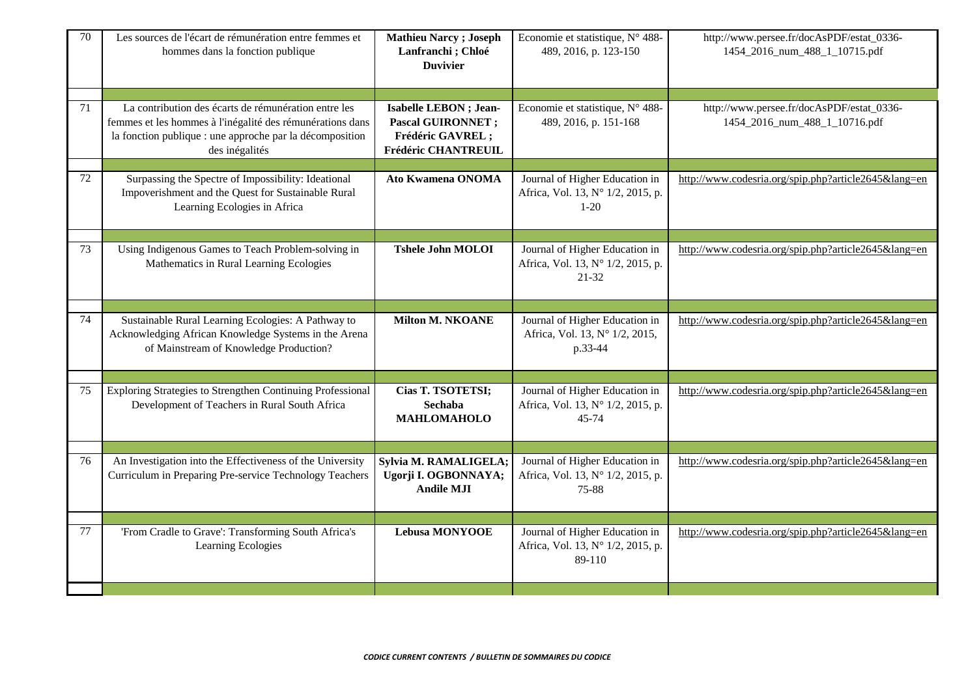| 70 | Les sources de l'écart de rémunération entre femmes et<br>hommes dans la fonction publique                                                                                                      | <b>Mathieu Narcy</b> ; Joseph<br>Lanfranchi; Chloé<br><b>Duvivier</b>                          | Economie et statistique, N° 488-<br>489, 2016, p. 123-150                     | http://www.persee.fr/docAsPDF/estat_0336-<br>1454_2016_num_488_1_10715.pdf |
|----|-------------------------------------------------------------------------------------------------------------------------------------------------------------------------------------------------|------------------------------------------------------------------------------------------------|-------------------------------------------------------------------------------|----------------------------------------------------------------------------|
| 71 | La contribution des écarts de rémunération entre les<br>femmes et les hommes à l'inégalité des rémunérations dans<br>la fonction publique : une approche par la décomposition<br>des inégalités | Isabelle LEBON ; Jean-<br><b>Pascal GUIRONNET ;</b><br>Frédéric GAVREL;<br>Frédéric CHANTREUIL | Economie et statistique, N° 488-<br>489, 2016, p. 151-168                     | http://www.persee.fr/docAsPDF/estat_0336-<br>1454_2016_num_488_1_10716.pdf |
| 72 | Surpassing the Spectre of Impossibility: Ideational<br>Impoverishment and the Quest for Sustainable Rural<br>Learning Ecologies in Africa                                                       | <b>Ato Kwamena ONOMA</b>                                                                       | Journal of Higher Education in<br>Africa, Vol. 13, N° 1/2, 2015, p.<br>$1-20$ | http://www.codesria.org/spip.php?article2645⟨=en                           |
| 73 | Using Indigenous Games to Teach Problem-solving in<br>Mathematics in Rural Learning Ecologies                                                                                                   | <b>Tshele John MOLOI</b>                                                                       | Journal of Higher Education in<br>Africa, Vol. 13, Nº 1/2, 2015, p.<br>21-32  | http://www.codesria.org/spip.php?article2645⟨=en                           |
| 74 | Sustainable Rural Learning Ecologies: A Pathway to<br>Acknowledging African Knowledge Systems in the Arena<br>of Mainstream of Knowledge Production?                                            | <b>Milton M. NKOANE</b>                                                                        | Journal of Higher Education in<br>Africa, Vol. 13, N° 1/2, 2015,<br>p.33-44   | http://www.codesria.org/spip.php?article2645⟨=en                           |
| 75 | Exploring Strategies to Strengthen Continuing Professional<br>Development of Teachers in Rural South Africa                                                                                     | Cias T. TSOTETSI;<br><b>Sechaba</b><br><b>MAHLOMAHOLO</b>                                      | Journal of Higher Education in<br>Africa, Vol. 13, N° 1/2, 2015, p.<br>45-74  | http://www.codesria.org/spip.php?article2645⟨=en                           |
| 76 | An Investigation into the Effectiveness of the University<br>Curriculum in Preparing Pre-service Technology Teachers                                                                            | Sylvia M. RAMALIGELA;<br>Ugorji I. OGBONNAYA;<br><b>Andile MJI</b>                             | Journal of Higher Education in<br>Africa, Vol. 13, Nº 1/2, 2015, p.<br>75-88  | http://www.codesria.org/spip.php?article2645⟨=en                           |
| 77 | 'From Cradle to Grave': Transforming South Africa's<br>Learning Ecologies                                                                                                                       | <b>Lebusa MONYOOE</b>                                                                          | Journal of Higher Education in<br>Africa, Vol. 13, Nº 1/2, 2015, p.<br>89-110 | http://www.codesria.org/spip.php?article2645⟨=en                           |
|    |                                                                                                                                                                                                 |                                                                                                |                                                                               |                                                                            |